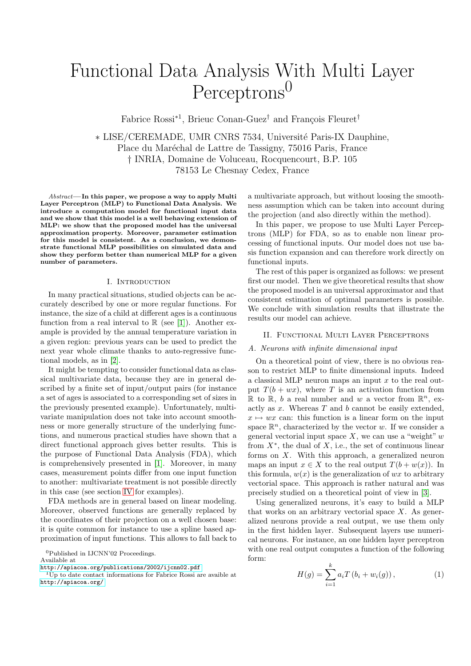# Functional Data Analysis With Multi Layer Perceptrons<sup>0</sup>

Fabrice Rossi<sup>\*1</sup>, Brieuc Conan-Guez<sup>†</sup> and François Fleuret<sup>†</sup>

∗ LISE/CEREMADE, UMR CNRS 7534, Universit´e Paris-IX Dauphine, Place du Maréchal de Lattre de Tassigny, 75016 Paris, France † INRIA, Domaine de Voluceau, Rocquencourt, B.P. 105 78153 Le Chesnay Cedex, France

Abstract—In this paper, we propose a way to apply Multi Layer Perceptron (MLP) to Functional Data Analysis. We introduce a computation model for functional input data and we show that this model is a well behaving extension of MLP: we show that the proposed model has the universal approximation property. Moreover, parameter estimation for this model is consistent. As a conclusion, we demonstrate functional MLP possibilities on simulated data and show they perform better than numerical MLP for a given number of parameters.

## I. INTRODUCTION

In many practical situations, studied objects can be accurately described by one or more regular functions. For instance, the size of a child at different ages is a continuous function from a real interval to  $\mathbb R$  (see [\[1\]](#page-5-0)). Another example is provided by the annual temperature variation in a given region: previous years can be used to predict the next year whole climate thanks to auto-regressive functional models, as in [\[2\]](#page-5-1).

It might be tempting to consider functional data as classical multivariate data, because they are in general described by a finite set of input/output pairs (for instance a set of ages is associated to a corresponding set of sizes in the previously presented example). Unfortunately, multivariate manipulation does not take into account smoothness or more generally structure of the underlying functions, and numerous practical studies have shown that a direct functional approach gives better results. This is the purpose of Functional Data Analysis (FDA), which is comprehensively presented in [\[1\]](#page-5-0). Moreover, in many cases, measurement points differ from one input function to another: multivariate treatment is not possible directly in this case (see section [IV](#page-3-0) for examples).

FDA methods are in general based on linear modeling. Moreover, observed functions are generally replaced by the coordinates of their projection on a well chosen base: it is quite common for instance to use a spline based approximation of input functions. This allows to fall back to

Available at

a multivariate approach, but without loosing the smoothness assumption which can be taken into account during the projection (and also directly within the method).

In this paper, we propose to use Multi Layer Perceptrons (MLP) for FDA, so as to enable non linear processing of functional inputs. Our model does not use basis function expansion and can therefore work directly on functional inputs.

The rest of this paper is organized as follows: we present first our model. Then we give theoretical results that show the proposed model is an universal approximator and that consistent estimation of optimal parameters is possible. We conclude with simulation results that illustrate the results our model can achieve.

## II. Functional Multi Layer Perceptrons

## A. Neurons with infinite dimensional input

On a theoretical point of view, there is no obvious reason to restrict MLP to finite dimensional inputs. Indeed a classical MLP neuron maps an input  $x$  to the real output  $T(b + wx)$ , where T is an activation function from  $\mathbb R$  to  $\mathbb R$ , b a real number and w a vector from  $\mathbb R^n$ , exactly as  $x$ . Whereas  $T$  and  $b$  cannot be easily extended,  $x \mapsto wx$  can: this function is a linear form on the input space  $\mathbb{R}^n$ , characterized by the vector w. If we consider a general vectorial input space  $X$ , we can use a "weight"  $w$ from  $X^*$ , the dual of  $X$ , i.e., the set of continuous linear forms on  $X$ . With this approach, a generalized neuron maps an input  $x \in X$  to the real output  $T(b + w(x))$ . In this formula,  $w(x)$  is the generalization of wx to arbitrary vectorial space. This approach is rather natural and was precisely studied on a theoretical point of view in [\[3\]](#page-5-2).

Using generalized neurons, it's easy to build a MLP that works on an arbitrary vectorial space  $X$ . As generalized neurons provide a real output, we use them only in the first hidden layer. Subsequent layers use numerical neurons. For instance, an one hidden layer perceptron with one real output computes a function of the following form:

<span id="page-0-0"></span>
$$
H(g) = \sum_{i=1}^{k} a_i T(b_i + w_i(g)),
$$
 (1)

 ${}^{0}\mathrm{P}$ ublished in IJCNN'02 Proceedings.

<http://apiacoa.org/publications/2002/ijcnn02.pdf>

<sup>1</sup>Up to date contact informations for Fabrice Rossi are avaible at <http://apiacoa.org/>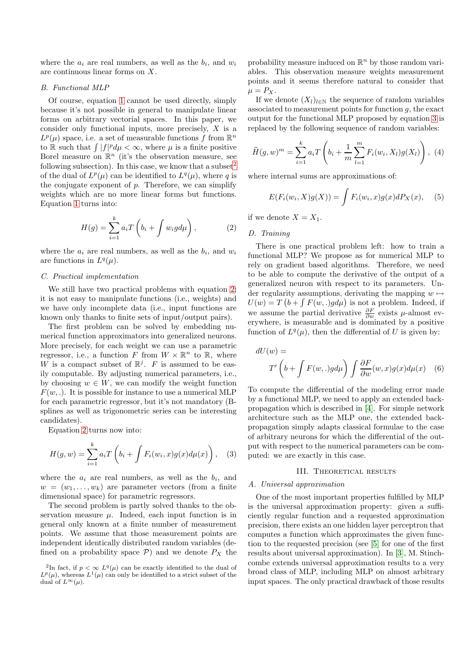where the  $a_i$  are real numbers, as well as the  $b_i$ , and  $w_i$ are continuous linear forms on X.

## B. Functional MLP

Of course, equation [1](#page-0-0) cannot be used directly, simply because it's not possible in general to manipulate linear forms on arbitrary vectorial spaces. In this paper, we consider only functional inputs, more precisely,  $X$  is a  $L^p(\mu)$  space, i.e. a set of measurable functions f from  $\mathbb{R}^n$ to  $\mathbb R$  such that  $\int |f|^p d\mu < \infty$ , where  $\mu$  is a finite positive Borel measure on  $\mathbb{R}^n$  (it's the observation measure, see following subsection). In this case, we know that a subset<sup>[2](#page-1-0)</sup> of the dual of  $L^p(\mu)$  can be identified to  $L^q(\mu)$ , where q is the conjugate exponent of  $p$ . Therefore, we can simplify weights which are no more linear forms but functions. Equation [1](#page-0-0) turns into:

$$
H(g) = \sum_{i=1}^{k} a_i T\left(b_i + \int w_i g d\mu\right), \qquad (2)
$$

<span id="page-1-1"></span>where the  $a_i$  are real numbers, as well as the  $b_i$ , and  $w_i$ are functions in  $L^q(\mu)$ .

# <span id="page-1-3"></span>C. Practical implementation

We still have two practical problems with equation [2:](#page-1-1) it is not easy to manipulate functions (i.e., weights) and we have only incomplete data (i.e., input functions are known only thanks to finite sets of input/output pairs).

The first problem can be solved by embedding numerical function approximators into generalized neurons. More precisely, for each weight we can use a parametric regressor, i.e., a function F from  $W \times \mathbb{R}^n$  to  $\mathbb{R}$ , where W is a compact subset of  $\mathbb{R}^j$ . F is assumed to be easily computable. By adjusting numerical parameters, i.e., by choosing  $w \in W$ , we can modify the weight function  $F(w, .)$ . It is possible for instance to use a numerical MLP for each parametric regressor, but it's not mandatory (Bsplines as well as trigonometric series can be interesting candidates).

Equation [2](#page-1-1) turns now into:

$$
H(g, w) = \sum_{i=1}^{k} a_i T\left(b_i + \int F_i(w_i, x) g(x) d\mu(x)\right), \quad (3)
$$

<span id="page-1-2"></span>where the  $a_i$  are real numbers, as well as the  $b_i$ , and  $w = (w_1, \ldots, w_k)$  are parameter vectors (from a finite dimensional space) for parametric regressors.

The second problem is partly solved thanks to the observation measure  $\mu$ . Indeed, each input function is in general only known at a finite number of measurement points. We assume that those measurement points are independent identically distributed random variables (defined on a probability space  $P$ ) and we denote  $P_X$  the

probability measure induced on  $\mathbb{R}^n$  by those random variables. This observation measure weights measurement points and it seems therefore natural to consider that  $\mu = P_X.$ 

If we denote  $(X_l)_{l \in \mathbb{N}}$  the sequence of random variables associated to measurement points for function  $q$ , the exact output for the functional MLP proposed by equation [3](#page-1-2) is replaced by the following sequence of random variables:

$$
\widehat{H}(g, w)^m = \sum_{i=1}^k a_i T\left(b_i + \frac{1}{m} \sum_{l=1}^m F_i(w_i, X_l) g(X_l)\right), \tag{4}
$$

where internal sums are approximations of:

$$
E(F_i(w_i, X)g(X)) = \int F_i(w_i, x)g(x)dP_X(x), \quad (5)
$$

if we denote  $X = X_1$ .

# D. Training

There is one practical problem left: how to train a functional MLP? We propose as for numerical MLP to rely on gradient based algorithms. Therefore, we need to be able to compute the derivative of the output of a generalized neuron with respect to its parameters. Under regularity assumptions, derivating the mapping  $w \mapsto$  $U(w) = T(b + \int F(w,.)gd\mu)$  is not a problem. Indeed, if we assume the partial derivative  $\frac{\partial F}{\partial w}$  exists  $\mu$ -almost everywhere, is measurable and is dominated by a positive function of  $L^q(\mu)$ , then the differential of U is given by:

$$
dU(w) =
$$
  
\n
$$
T'\left(b + \int F(w,.)gd\mu\right) \int \frac{\partial F}{\partial w}(w,x)g(x)d\mu(x) \quad (6)
$$

To compute the differential of the modeling error made by a functional MLP, we need to apply an extended backpropagation which is described in [\[4\]](#page-5-3). For simple network architecture such as the MLP one, the extended backpropagation simply adapts classical formulae to the case of arbitrary neurons for which the differential of the output with respect to the numerical parameters can be computed: we are exactly in this case.

# III. THEORETICAL RESULTS

## A. Universal approximation

One of the most important properties fulfilled by MLP is the universal approximation property: given a sufficiently regular function and a requested approximation precision, there exists an one hidden layer perceptron that computes a function which approximates the given function to the requested precision (see [\[5\]](#page-5-4) for one of the first results about universal approximation). In [\[3\]](#page-5-2), M. Stinchcombe extends universal approximation results to a very broad class of MLP, including MLP on almost arbitrary input spaces. The only practical drawback of those results

<span id="page-1-0"></span><sup>&</sup>lt;sup>2</sup>In fact, if  $p < \infty$   $L^q(\mu)$  can be exactly identified to the dual of  $L^p(\mu)$ , whereas  $L^1(\mu)$  can only be identified to a strict subset of the dual of  $L^{\infty}(\mu)$ .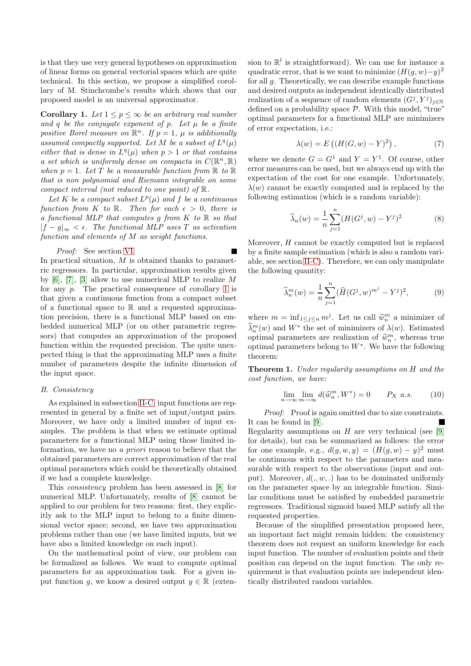is that they use very general hypotheses on approximation of linear forms on general vectorial spaces which are quite technical. In this section, we propose a simplified corollary of M. Stinchcombe's results which shows that our proposed model is an universal approximator.

<span id="page-2-0"></span>Corollary 1. Let  $1 \leq p \leq \infty$  be an arbitrary real number and q be the conjugate exponent of p. Let  $\mu$  be a finite positive Borel measure on  $\mathbb{R}^n$ . If  $p=1$ ,  $\mu$  is additionally assumed compactly supported. Let M be a subset of  $L^q(\mu)$ either that is dense in  $L^q(\mu)$  when  $p > 1$  or that contains a set which is uniformly dense on compacta in  $C(\mathbb{R}^n, \mathbb{R})$ when  $p = 1$ . Let T be a measurable function from  $\mathbb R$  to  $\mathbb R$ that is non polynomial and Riemann integrable on some compact interval (not reduced to one point) of  $\mathbb{R}$ .

Let K be a compact subset  $L^p(\mu)$  and f be a continuous function from K to R. Then for each  $\epsilon > 0$ , there is a functional MLP that computes g from  $K$  to  $\mathbb R$  so that  $|f - g|_{\infty} < \epsilon$ . The functional MLP uses T as activation function and elements of M as weight functions.

# Proof: See section [VI.](#page-5-5)

In practical situation,  $M$  is obtained thanks to parametric regressors. In particular, approximation results given by  $[6]$ ,  $[7]$ ,  $[3]$  allow to use numerical MLP to realize M for any  $p$ . The practical consequence of corollary [1](#page-2-0) is that given a continuous function from a compact subset of a functional space to  $\mathbb R$  and a requested approximation precision, there is a functional MLP based on embedded numerical MLP (or on other parametric regressors) that computes an approximation of the proposed function within the requested precision. The quite unexpected thing is that the approximating MLP uses a finite number of parameters despite the infinite dimension of the input space.

# B. Consistency

As explained in subsection [II-C,](#page-1-3) input functions are represented in general by a finite set of input/output pairs. Moreover, we have only a limited number of input examples. The problem is that when we estimate optimal parameters for a functional MLP using those limited information, we have no a priori reason to believe that the obtained parameters are correct approximation of the real optimal parameters which could be theoretically obtained if we had a complete knowledge.

This consistency problem has been assessed in [\[8\]](#page-5-8) for numerical MLP. Unfortunately, results of [\[8\]](#page-5-8) cannot be applied to our problem for two reasons: first, they explicitly ask to the MLP input to belong to a finite dimensional vector space; second, we have two approximation problems rather than one (we have limited inputs, but we have also a limited knowledge on each input).

On the mathematical point of view, our problem can be formalized as follows. We want to compute optimal parameters for an approximation task. For a given input function q, we know a desired output  $y \in \mathbb{R}$  (exten-

sion to  $\mathbb{R}^l$  is straightforward). We can use for instance a quadratic error, that is we want to minimize  $(H(g, w)-y)^2$ for all g. Theoretically, we can describe example functions and desired outputs as independent identically distributed realization of a sequence of random elements  $(G<sup>j</sup>, Y<sup>j</sup>)<sub>j\in\mathbb{N}</sub>$ defined on a probability space  $P$ . With this model, "true" optimal parameters for a functional MLP are minimizers of error expectation, i.e.:

$$
\lambda(w) = E\left( (H(G, w) - Y)^2 \right),\tag{7}
$$

where we denote  $G = G^1$  and  $Y = Y^1$ . Of course, other error measures can be used, but we always end up with the expectation of the cost for one example. Unfortunately,  $\lambda(w)$  cannot be exactly computed and is replaced by the following estimation (which is a random variable):

$$
\widehat{\lambda}_n(w) = \frac{1}{n} \sum_{j=1}^n (H(G^j, w) - Y^j)^2
$$
 (8)

Moreover, H cannot be exactly computed but is replaced by a finite sample estimation (which is also a random variable, see section [II-C\)](#page-1-3). Therefore, we can only manipulate the following quantity:

$$
\widehat{\lambda}_n^m(w) = \frac{1}{n} \sum_{j=1}^n (\widehat{H}(G^j, w)^{m^j} - Y^j)^2, \tag{9}
$$

where  $m = \inf_{1 \leq j \leq n} m^j$ . Let us call  $\widehat{w}_n^m$  a minimizer of  $\widehat{\lambda}_n^m(w)$  and  $W^*$  the set of minimizers of  $\lambda(w)$ . Estimated optimal parameters are realization of  $\hat{w}_n^m$ , whereas true<br>entimal parameters holong to  $W^*$ . We have the following optimal parameters belong to  $W^*$ . We have the following theorem:

Theorem 1. Under regularity assumptions on H and the cost function, we have:

$$
\lim_{n \to \infty} \lim_{m \to \infty} d(\hat{w}_n^m, W^*) = 0 \qquad P_X \ a.s. \tag{10}
$$

Proof: Proof is again omitted due to size constraints. It can be found in [\[9\]](#page-5-9).

Regularity assumptions on  $H$  are very technical (see [\[9\]](#page-5-9) for details), but can be summarized as follows: the error for one example, e.g.,  $d(g, w, y) = (H(g, w) - y)^2$  must be continuous with respect to the parameters and measurable with respect to the observations (input and output). Moreover,  $d(., w, .)$  has to be dominated uniformly on the parameter space by an integrable function. Similar conditions must be satisfied by embedded parametric regressors. Traditional sigmoid based MLP satisfy all the requested properties.

Because of the simplified presentation proposed here, an important fact might remain hidden: the consistency theorem does not request an uniform knowledge for each input function. The number of evaluation points and their position can depend on the input function. The only requirement is that evaluation points are independent identically distributed random variables.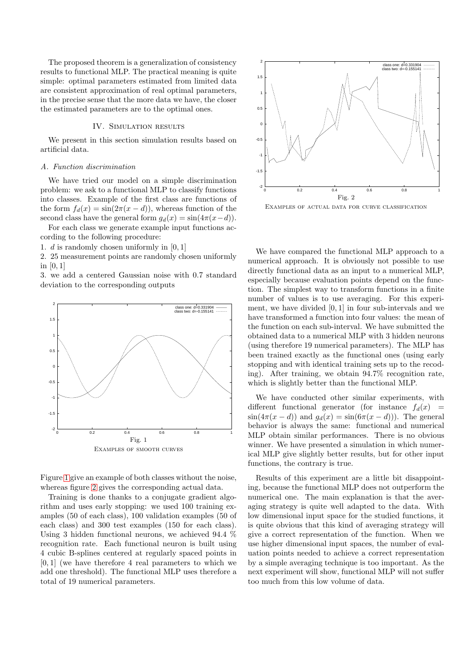The proposed theorem is a generalization of consistency results to functional MLP. The practical meaning is quite simple: optimal parameters estimated from limited data are consistent approximation of real optimal parameters, in the precise sense that the more data we have, the closer the estimated parameters are to the optimal ones.

## IV. Simulation results

<span id="page-3-0"></span>We present in this section simulation results based on artificial data.

## A. Function discrimination

We have tried our model on a simple discrimination problem: we ask to a functional MLP to classify functions into classes. Example of the first class are functions of the form  $f_d(x) = \sin(2\pi(x - d))$ , whereas function of the second class have the general form  $g_d(x) = \sin(4\pi(x-d)).$ 

For each class we generate example input functions according to the following procedure:

1.  $d$  is randomly chosen uniformly in [0, 1]

2. 25 measurement points are randomly chosen uniformly in [0, 1]

3. we add a centered Gaussian noise with 0.7 standard deviation to the corresponding outputs



<span id="page-3-1"></span>Figure [1](#page-3-1) give an example of both classes without the noise, whereas figure [2](#page-3-2) gives the corresponding actual data.

Training is done thanks to a conjugate gradient algorithm and uses early stopping: we used 100 training examples (50 of each class), 100 validation examples (50 of each class) and 300 test examples (150 for each class). Using 3 hidden functional neurons, we achieved 94.4 % recognition rate. Each functional neuron is built using 4 cubic B-splines centered at regularly spaced points in  $[0, 1]$  (we have therefore 4 real parameters to which we add one threshold). The functional MLP uses therefore a total of 19 numerical parameters.



<span id="page-3-2"></span>Examples of actual data for curve classification

We have compared the functional MLP approach to a numerical approach. It is obviously not possible to use directly functional data as an input to a numerical MLP, especially because evaluation points depend on the function. The simplest way to transform functions in a finite number of values is to use averaging. For this experiment, we have divided [0, 1] in four sub-intervals and we have transformed a function into four values: the mean of the function on each sub-interval. We have submitted the obtained data to a numerical MLP with 3 hidden neurons (using therefore 19 numerical parameters). The MLP has been trained exactly as the functional ones (using early stopping and with identical training sets up to the recoding). After training, we obtain 94.7% recognition rate, which is slightly better than the functional MLP.

We have conducted other similar experiments, with different functional generator (for instance  $f_d(x)$  =  $sin(4\pi(x-d))$  and  $g_d(x) = sin(6\pi(x-d))$ . The general behavior is always the same: functional and numerical MLP obtain similar performances. There is no obvious winner. We have presented a simulation in which numerical MLP give slightly better results, but for other input functions, the contrary is true.

Results of this experiment are a little bit disappointing, because the functional MLP does not outperform the numerical one. The main explanation is that the averaging strategy is quite well adapted to the data. With low dimensional input space for the studied functions, it is quite obvious that this kind of averaging strategy will give a correct representation of the function. When we use higher dimensional input spaces, the number of evaluation points needed to achieve a correct representation by a simple averaging technique is too important. As the next experiment will show, functional MLP will not suffer too much from this low volume of data.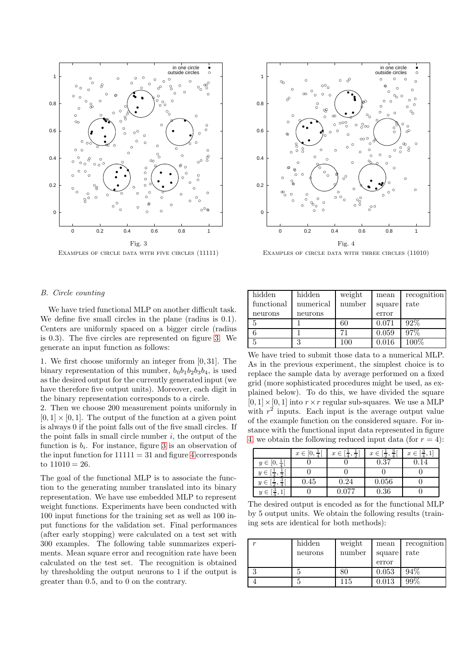

Examples of circle data with five circles (11111)



Examples of circle data with three circles (11010)

# <span id="page-4-0"></span>B. Circle counting

We have tried functional MLP on another difficult task. We define five small circles in the plane (radius is 0.1). Centers are uniformly spaced on a bigger circle (radius is 0.3). The five circles are represented on figure [3.](#page-4-0) We generate an input function as follows:

1. We first choose uniformly an integer from [0, 31]. The binary representation of this number,  $b_0b_1b_2b_3b_4$ , is used as the desired output for the currently generated input (we have therefore five output units). Moreover, each digit in the binary representation corresponds to a circle.

2. Then we choose 200 measurement points uniformly in  $[0, 1] \times [0, 1]$ . The output of the function at a given point is always 0 if the point falls out of the five small circles. If the point falls in small circle number  $i$ , the output of the function is  $b_i$ . For instance, figure [3](#page-4-0) is an observation of the input function for  $11111 = 31$  and figure [4](#page-4-1) corresponds to  $11010 = 26$ .

The goal of the functional MLP is to associate the function to the generating number translated into its binary representation. We have use embedded MLP to represent weight functions. Experiments have been conducted with 100 input functions for the training set as well as 100 input functions for the validation set. Final performances (after early stopping) were calculated on a test set with 300 examples. The following table summarizes experiments. Mean square error and recognition rate have been calculated on the test set. The recognition is obtained by thresholding the output neurons to 1 if the output is greater than 0.5, and to 0 on the contrary.

<span id="page-4-1"></span>

| hidden     | hidden    | weight | mean   | recognition |
|------------|-----------|--------|--------|-------------|
| functional | numerical | number | square | rate        |
| neurons    | neurons   |        | error  |             |
| 5          |           | 60     | 0.071  | 92%         |
|            |           |        | 0.059  | 97%         |
|            | Q         | 100    | 0.016  | 100%        |

We have tried to submit those data to a numerical MLP. As in the previous experiment, the simplest choice is to replace the sample data by average performed on a fixed grid (more sophisticated procedures might be used, as explained below). To do this, we have divided the square  $[0, 1] \times [0, 1]$  into  $r \times r$  regular sub-squares. We use a MLP with  $r^2$  inputs. Each input is the average output value of the example function on the considered square. For instance with the functional input data represented in figure [4,](#page-4-1) we obtain the following reduced input data (for  $r = 4$ ):

|                                                            | $x \in [0, \frac{1}{4}]$ | $\left[\frac{1}{4},\frac{1}{2}\right[$<br>$x \in$ | $x \in \left[\frac{1}{2}, \frac{3}{4}\right[$ | $x \in [\frac{3}{4}, 1]$ |
|------------------------------------------------------------|--------------------------|---------------------------------------------------|-----------------------------------------------|--------------------------|
| $y \in [0,$                                                |                          |                                                   |                                               |                          |
| $\left[\frac{1}{4},\frac{1}{2}\right]$<br>$\boldsymbol{y}$ |                          |                                                   |                                               |                          |
| $rac{3}{4}$<br>$\frac{1}{2}$ ,                             | 0.45                     | 0.24                                              | 0.056                                         |                          |
| o<br>y                                                     |                          |                                                   | $\rm 0.36$                                    |                          |

The desired output is encoded as for the functional MLP by 5 output units. We obtain the following results (training sets are identical for both methods):

| hidden  | weight | mean   | recognition |
|---------|--------|--------|-------------|
| neurons | number | square | rate        |
|         |        | error  |             |
|         | 80     | 0.053  | 94%         |
|         | 115    | 0.013  | 99%         |